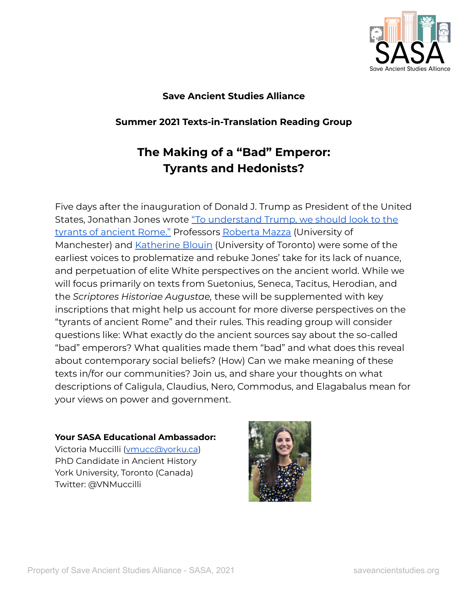

# **Save Ancient Studies Alliance**

# **Summer 2021 Texts-in-Translation Reading Group**

# **The Making of a "Bad" Emperor: Tyrants and Hedonists?**

Five days after the inauguration of Donald J. Trump as President of the United States, Jonathan Jones wrote "To [understand](https://www.theguardian.com/artanddesign/jonathanjonesblog/2017/jan/25/donald-trump-president-tyrants-ancient-rome?CMP=share_btn_fb) Trump, we should look to the tyrants of [ancient](https://www.theguardian.com/artanddesign/jonathanjonesblog/2017/jan/25/donald-trump-president-tyrants-ancient-rome?CMP=share_btn_fb) Rome." Professors [Roberta](https://facesandvoices.wordpress.com/2017/01/30/donald-trump-is-as-tacky-as-roman-emperors-so-what/) Mazza (University of Manchester) and [Katherine](https://everydayorientalism.wordpress.com/2017/02/06/ancient-history-in-the-age-of-trump-time-for-the-media-to-update-their-classics/) Blouin (University of Toronto) were some of the earliest voices to problematize and rebuke Jones' take for its lack of nuance, and perpetuation of elite White perspectives on the ancient world. While we will focus primarily on texts from Suetonius, Seneca, Tacitus, Herodian, and the *Scriptores Historiae Augustae,* these will be supplemented with key inscriptions that might help us account for more diverse perspectives on the "tyrants of ancient Rome" and their rules. This reading group will consider questions like: What exactly do the ancient sources say about the so-called "bad" emperors? What qualities made them "bad" and what does this reveal about contemporary social beliefs? (How) Can we make meaning of these texts in/for our communities? Join us, and share your thoughts on what descriptions of Caligula, Claudius, Nero, Commodus, and Elagabalus mean for your views on power and government.

# **Your SASA Educational Ambassador:**

Victoria Muccilli ([vmucc@yorku.ca](mailto:vmucc@yorku.ca)) PhD Candidate in Ancient History York University, Toronto (Canada) Twitter: @VNMuccilli

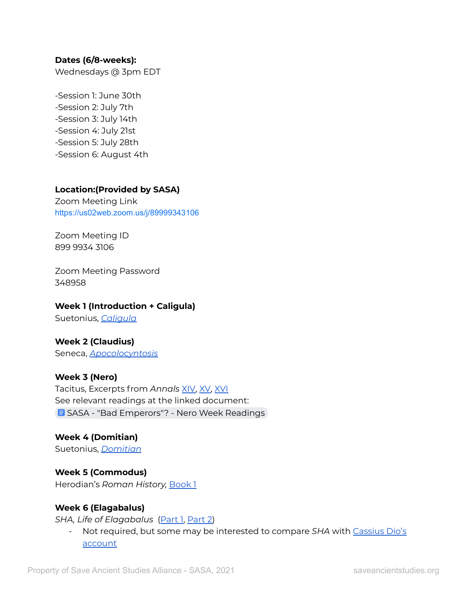#### **Dates (6/8-weeks):**

Wednesdays @ 3pm EDT

-Session 1: June 30th -Session 2: July 7th -Session 3: July 14th -Session 4: July 21st -Session 5: July 28th -Session 6: August 4th

#### **Location:(Provided by SASA)**

Zoom Meeting Link <https://us02web.zoom.us/j/89999343106>

Zoom Meeting ID 899 9934 3106

Zoom Meeting Password 348958

#### **Week 1 (Introduction + Caligula)**

Suetonius, *[Caligula](http://www.perseus.tufts.edu/hopper/text?doc=Perseus%3Atext%3A1999.02.0132%3Alife%3Dcal.)*

# **Week 2 (Claudius)**

Seneca, *[Apocolocyntosis](http://www.perseus.tufts.edu/hopper/text?doc=Perseus%3Atext%3A2007.01.0029)*

# **Week 3 (Nero)**

Tacitus, Excerpts from *Annals* [XIV,](http://www.perseus.tufts.edu/hopper/text?doc=Perseus%3Atext%3A1999.02.0078%3Abook%3D14%3Achapter%3D1) [XV,](http://www.perseus.tufts.edu/hopper/text?doc=Perseus%3Atext%3A1999.02.0078%3Abook%3D15%3Achapter%3D1) [XVI](http://www.perseus.tufts.edu/hopper/text?doc=Perseus%3Atext%3A1999.02.0078%3Abook%3D16%3Achapter%3D1) See relevant readings at the linked document: **B** SASA - "Bad [Emperors"?](https://docs.google.com/document/d/16OCn7VriMUTazRLeFR90RXBRyJZxES-uKdf7zldQ6XI/edit?usp=sharing) - Nero Week Readings

**Week 4 (Domitian)** Suetonius, *[Domitian](http://www.perseus.tufts.edu/hopper/text?doc=Perseus%3Atext%3A1999.02.0132%3Alife%3Ddom.)*

**Week 5 (Commodus)** Herodian's *Roman History,* [Book](https://www.livius.org/sources/content/herodian-s-roman-history/herodian-1.1/) 1

#### **Week 6 (Elagabalus)**

*SHA, Life of Elagabalus* [\(Part](https://penelope.uchicago.edu/Thayer/E/Roman/Texts/Historia_Augusta/Elagabalus/1*.html) 1, [Part](https://penelope.uchicago.edu/Thayer/E/Roman/Texts/Historia_Augusta/Elagabalus/2*.html) 2)

- Not required, but some may be interested to compare *SHA* with [Cassius](https://penelope.uchicago.edu/Thayer/E/Roman/Texts/Cassius_Dio/80*.html) Dio's [account](https://penelope.uchicago.edu/Thayer/E/Roman/Texts/Cassius_Dio/80*.html)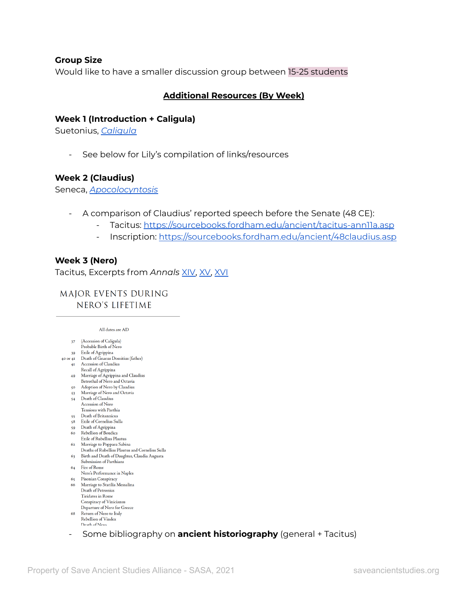#### **Group Size**

Would like to have a smaller discussion group between 15-25 students

#### **Additional Resources (By Week)**

#### **Week 1 (Introduction + Caligula)**

Suetonius, *[Caligula](http://www.perseus.tufts.edu/hopper/text?doc=Perseus%3Atext%3A1999.02.0132%3Alife%3Dcal.)*

- See below for Lily's compilation of links/resources

#### **Week 2 (Claudius)**

Seneca, *[Apocolocyntosis](http://www.perseus.tufts.edu/hopper/text?doc=Perseus%3Atext%3A2007.01.0029)*

- A comparison of Claudius' reported speech before the Senate (48 CE):
	- Tacitus: <https://sourcebooks.fordham.edu/ancient/tacitus-ann11a.asp>
	- Inscription: <https://sourcebooks.fordham.edu/ancient/48claudius.asp>

### **Week 3 (Nero)**

Tacitus, Excerpts from *Annals* [XIV,](http://www.perseus.tufts.edu/hopper/text?doc=Perseus%3Atext%3A1999.02.0078%3Abook%3D14%3Achapter%3D1) [XV,](http://www.perseus.tufts.edu/hopper/text?doc=Perseus%3Atext%3A1999.02.0078%3Abook%3D15%3Achapter%3D1) [XVI](http://www.perseus.tufts.edu/hopper/text?doc=Perseus%3Atext%3A1999.02.0078%3Abook%3D16%3Achapter%3D1)

MAJOR EVENTS DURING NERO'S LIFETIME

#### All dates are AD

- 37 (Accession of Caligula)
- Probable Birth of Nero 39 Exile of Agrippina
- 40 or 41 Death of Gnaeus Domitius (father)
	- 41 Accession of Claudius
	- Recall of Agrippina 49 Marriage of Agrippina and Claudius
	- Betrothal of Nero and Octavia
	- 50 Adoption of Nero by Claudius
	- 53 Marriage of Nero and Octavia 54 Death of Claudius
	- Accession of Nero
	- Tensions with Parthia
	- 55 Death of Britannicus<br>58 Exile of Cornelius Sulla
	-
	- 59 Death of Agrippina 60 Rebellion of Boudica
	- **Exile of Rubellius Plautus**
	- 62 Marriage to Poppaea Sabina
	- Deaths of Rubellius Plautus and Cornelius Sulla
	- 63 Birth and Death of Daughter, Claudia Augusta Submission of Parthians
	- 64 Fire of Rome Nero's Performance in Naples
	- 65 Pisonian Conspiracy
	- 66 Marriage to Statilia Messalina<br>Death of Petronius Tiridates in Rome Conspiracy of Vinicianus Departure of Nero for Greece
	- 68 Return of Nero to Italy Rebellion of Vindex
	- Some bibliography on **ancient historiography** (general + Tacitus)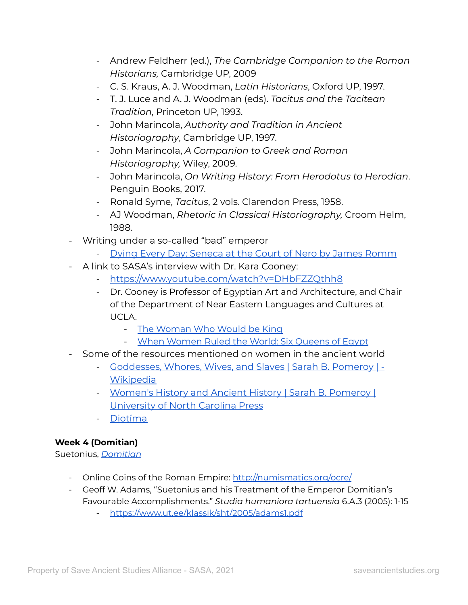- Andrew Feldherr (ed.), *The Cambridge Companion to the Roman Historians,* Cambridge UP, 2009
- C. S. Kraus, A. J. Woodman, *Latin Historians*, Oxford UP, 1997.
- T. J. Luce and A. J. Woodman (eds). *Tacitus and the Tacitean Tradition*, Princeton UP, 1993.
- John Marincola, *Authority and Tradition in Ancient Historiography*, Cambridge UP, 1997.
- John Marincola, *A Companion to Greek and Roman Historiography,* Wiley, 2009.
- John Marincola, *On Writing History: From Herodotus to Herodian*. Penguin Books, 2017.
- Ronald Syme, *Tacitus*, 2 vols. Clarendon Press, 1958.
- AJ Woodman, *Rhetoric in Classical Historiography,* Croom Helm, 1988.
- Writing under a so-called "bad" emperor
	- Dying Every Day: [Seneca](https://www.penguinrandomhouse.com/books/209852/dying-every-day-by-james-romm/) at the Court of Nero by James Romm
- A link to SASA's interview with Dr. Kara Cooney:
	- <https://www.youtube.com/watch?v=DHbFZZQthh8>
	- Dr. Cooney is Professor of Egyptian Art and Architecture, and Chair of the Department of Near Eastern Languages and Cultures at UCLA.
		- The [Woman](https://nelc.ucla.edu/book/the-woman-who-would-be-king/) Who Would be King
		- When [Women](https://books.google.com/books/about/When_Women_Ruled_the_World.html?id=LR1xDwAAQBAJ) Ruled the World: Six Queens of Egypt
- Some of the resources mentioned on women in the ancient world
	- [Goddesses,](https://en.wikipedia.org/wiki/Goddesses,_Whores,_Wives,_and_Slaves) Whores, Wives, and Slaves | Sarah B. Pomeroy | **[Wikipedia](https://en.wikipedia.org/wiki/Goddesses,_Whores,_Wives,_and_Slaves)**
	- [Women's](https://uncpress.org/book/9780807843109/womens-history-and-ancient-history/) History and Ancient History | Sarah B. Pomeroy | [University](https://uncpress.org/book/9780807843109/womens-history-and-ancient-history/) of North Carolina Press
	- [Diotíma](https://diotima-doctafemina.org/)

# **Week 4 (Domitian)**

Suetonius, *[Domitian](http://www.perseus.tufts.edu/hopper/text?doc=Perseus%3Atext%3A1999.02.0132%3Alife%3Ddom.)*

- Online Coins of the Roman Empire: <http://numismatics.org/ocre/>
- Geoff W. Adams, "Suetonius and his Treatment of the Emperor Domitian's Favourable Accomplishments." *Studia humaniora tartuensia* 6.A.3 (2005): 1-15
	- <https://www.ut.ee/klassik/sht/2005/adams1.pdf>